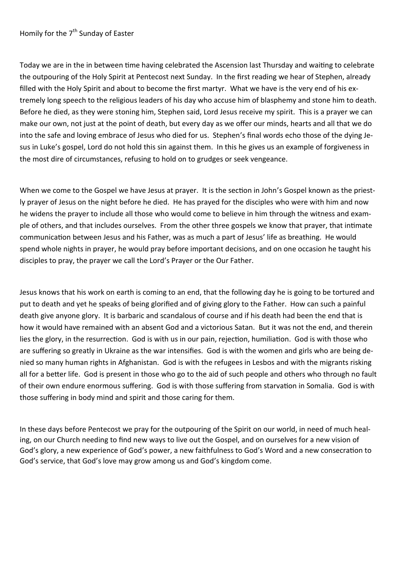Homily for the  $7<sup>th</sup>$  Sunday of Easter

Today we are in the in between time having celebrated the Ascension last Thursday and waiting to celebrate the outpouring of the Holy Spirit at Pentecost next Sunday. In the first reading we hear of Stephen, already filled with the Holy Spirit and about to become the first martyr. What we have is the very end of his extremely long speech to the religious leaders of his day who accuse him of blasphemy and stone him to death. Before he died, as they were stoning him, Stephen said, Lord Jesus receive my spirit. This is a prayer we can make our own, not just at the point of death, but every day as we offer our minds, hearts and all that we do into the safe and loving embrace of Jesus who died for us. Stephen's final words echo those of the dying Jesus in Luke's gospel, Lord do not hold this sin against them. In this he gives us an example of forgiveness in the most dire of circumstances, refusing to hold on to grudges or seek vengeance.

When we come to the Gospel we have Jesus at prayer. It is the section in John's Gospel known as the priestly prayer of Jesus on the night before he died. He has prayed for the disciples who were with him and now he widens the prayer to include all those who would come to believe in him through the witness and example of others, and that includes ourselves. From the other three gospels we know that prayer, that intimate communication between Jesus and his Father, was as much a part of Jesus' life as breathing. He would spend whole nights in prayer, he would pray before important decisions, and on one occasion he taught his disciples to pray, the prayer we call the Lord's Prayer or the Our Father.

Jesus knows that his work on earth is coming to an end, that the following day he is going to be tortured and put to death and yet he speaks of being glorified and of giving glory to the Father. How can such a painful death give anyone glory. It is barbaric and scandalous of course and if his death had been the end that is how it would have remained with an absent God and a victorious Satan. But it was not the end, and therein lies the glory, in the resurrection. God is with us in our pain, rejection, humiliation. God is with those who are suffering so greatly in Ukraine as the war intensifies. God is with the women and girls who are being denied so many human rights in Afghanistan. God is with the refugees in Lesbos and with the migrants risking all for a better life. God is present in those who go to the aid of such people and others who through no fault of their own endure enormous suffering. God is with those suffering from starvation in Somalia. God is with those suffering in body mind and spirit and those caring for them.

In these days before Pentecost we pray for the outpouring of the Spirit on our world, in need of much healing, on our Church needing to find new ways to live out the Gospel, and on ourselves for a new vision of God's glory, a new experience of God's power, a new faithfulness to God's Word and a new consecration to God's service, that God's love may grow among us and God's kingdom come.